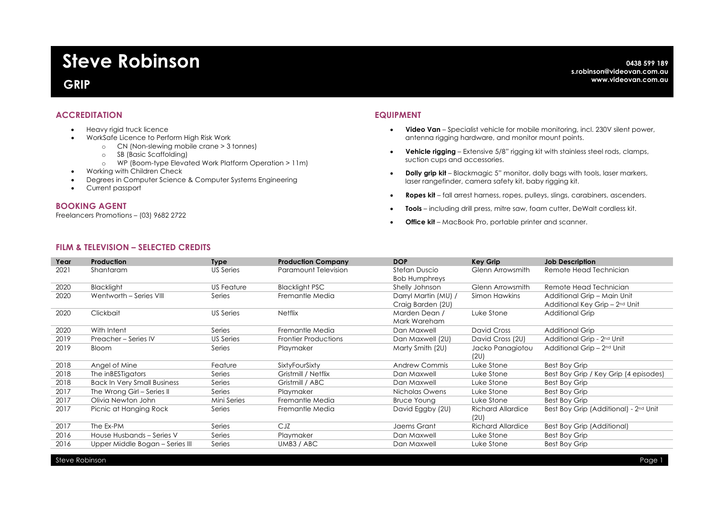# **Steve Robinson**

# **GRIP**

# **ACCREDITATION**

- Heavy rigid truck licence
- WorkSafe Licence to Perform High Risk Work
	- o CN (Non-slewing mobile crane > 3 tonnes)
	- o SB (Basic Scaffolding)
	- o WP (Boom-type Elevated Work Platform Operation > 11m)
- Working with Children Check
- Degrees in Computer Science & Computer Systems Engineering
- Current passport

#### **BOOKING AGENT**

Freelancers Promotions – (03) 9682 2722

### **EQUIPMENT**

- **Video Van** Specialist vehicle for mobile monitoring, incl. 230V silent power, antenna rigging hardware, and monitor mount points.
- **Vehicle rigging** Extensive 5/8" rigging kit with stainless steel rods, clamps, suction cups and accessories.
- **Dolly grip kit** Blackmagic 5" monitor, dolly bags with tools, laser markers, laser rangefinder, camera safety kit, baby rigging kit.
- **Ropes kit**  fall arrest harness, ropes, pulleys, slings, carabiners, ascenders.
- **Tools** including drill press, mitre saw, foam cutter, DeWalt cordless kit.
- **Office kit**  MacBook Pro, portable printer and scanner.

# **FILM & TELEVISION – SELECTED CREDITS**

| Year | Production                         | <b>Type</b> | <b>Production Company</b>   | <b>DOP</b>           | <b>Key Grip</b>          | <b>Job Description</b>                 |
|------|------------------------------------|-------------|-----------------------------|----------------------|--------------------------|----------------------------------------|
| 2021 | Shantaram                          | US Series   | Paramount Television        | Stefan Duscio        | Glenn Arrowsmith         | Remote Head Technician                 |
|      |                                    |             |                             | <b>Bob Humphreys</b> |                          |                                        |
| 2020 | <b>Blacklight</b>                  | US Feature  | <b>Blacklight PSC</b>       | Shelly Johnson       | Glenn Arrowsmith         | Remote Head Technician                 |
| 2020 | Wentworth - Series VIII            | Series      | Fremantle Media             | Darryl Martin (MU) / | Simon Hawkins            | Additional Grip - Main Unit            |
|      |                                    |             |                             | Craig Barden (2U)    |                          | Additional Key Grip - 2nd Unit         |
| 2020 | Clickbait                          | US Series   | <b>Netflix</b>              | Marden Dean /        | Luke Stone               | Additional Grip                        |
|      |                                    |             |                             | Mark Wareham         |                          |                                        |
| 2020 | With Intent                        | Series      | Fremantle Media             | Dan Maxwell          | David Cross              | <b>Additional Grip</b>                 |
| 2019 | Preacher - Series IV               | US Series   | <b>Frontier Productions</b> | Dan Maxwell (2U)     | David Cross (2U)         | Additional Grip - 2 <sup>nd</sup> Unit |
| 2019 | Bloom                              | Series      | Playmaker                   | Marty Smith (2U)     | Jacko Panagiotou         | Additional Grip - 2 <sup>nd</sup> Unit |
|      |                                    |             |                             |                      | (2U)                     |                                        |
| 2018 | Angel of Mine                      | Feature     | SixtyFourSixty              | Andrew Commis        | Luke Stone               | <b>Best Boy Grip</b>                   |
| 2018 | The inBESTigators                  | Series      | Gristmill / Netflix         | Dan Maxwell          | Luke Stone               | Best Boy Grip / Key Grip (4 episodes)  |
| 2018 | <b>Back In Very Small Business</b> | Series      | Gristmill / ABC             | Dan Maxwell          | Luke Stone               | Best Boy Grip                          |
| 2017 | The Wrong Girl - Series II         | Series      | Playmaker                   | Nicholas Owens       | Luke Stone               | Best Boy Grip                          |
| 2017 | Olivia Newton John                 | Mini Series | Fremantle Media             | <b>Bruce Young</b>   | Luke Stone               | <b>Best Boy Grip</b>                   |
| 2017 | Picnic at Hanging Rock             | Series      | Fremantle Media             | David Eggby (20)     | <b>Richard Allardice</b> | Best Boy Grip (Additional) - 2nd Unit  |
|      |                                    |             |                             |                      | (2U)                     |                                        |
| 2017 | The Ex-PM                          | Series      | CJZ                         | Jaems Grant          | <b>Richard Allardice</b> | Best Boy Grip (Additional)             |
| 2016 | House Husbands - Series V          | Series      | Playmaker                   | Dan Maxwell          | Luke Stone               | Best Boy Grip                          |
| 2016 | Upper Middle Bogan - Series III    | Series      | UMB3 / ABC                  | Dan Maxwell          | Luke Stone               | Best Boy Grip                          |
|      |                                    |             |                             |                      |                          |                                        |

Steve Robinson Page 1